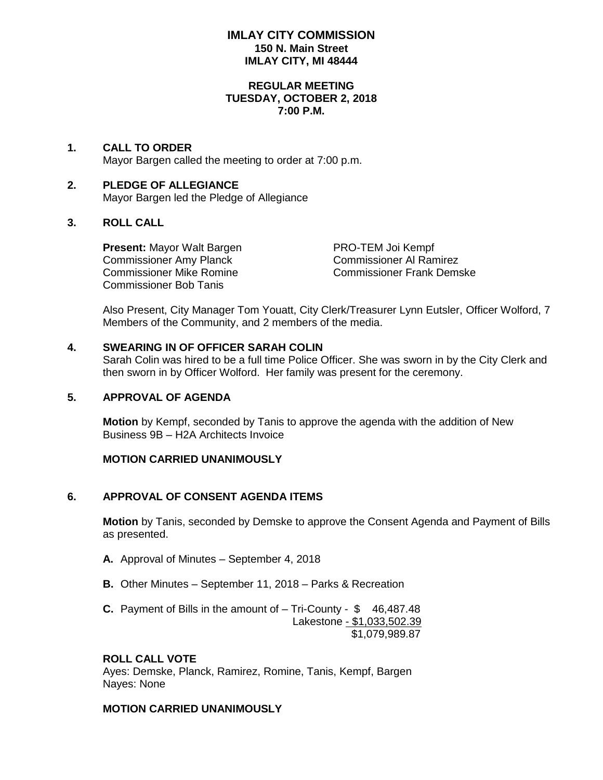### **IMLAY CITY COMMISSION 150 N. Main Street IMLAY CITY, MI 48444**

#### **REGULAR MEETING TUESDAY, OCTOBER 2, 2018 7:00 P.M.**

#### **1. CALL TO ORDER** Mayor Bargen called the meeting to order at 7:00 p.m.

## **2. PLEDGE OF ALLEGIANCE** Mayor Bargen led the Pledge of Allegiance

## **3. ROLL CALL**

**Present:** Mayor Walt Bargen PRO-TEM Joi Kempf Commissioner Amy Planck Commissioner Al Ramirez Commissioner Bob Tanis

Commissioner Mike Romine Commissioner Frank Demske

Also Present, City Manager Tom Youatt, City Clerk/Treasurer Lynn Eutsler, Officer Wolford, 7 Members of the Community, and 2 members of the media.

## **4. SWEARING IN OF OFFICER SARAH COLIN**

Sarah Colin was hired to be a full time Police Officer. She was sworn in by the City Clerk and then sworn in by Officer Wolford. Her family was present for the ceremony.

## **5. APPROVAL OF AGENDA**

**Motion** by Kempf, seconded by Tanis to approve the agenda with the addition of New Business 9B – H2A Architects Invoice

## **MOTION CARRIED UNANIMOUSLY**

# **6. APPROVAL OF CONSENT AGENDA ITEMS**

**Motion** by Tanis, seconded by Demske to approve the Consent Agenda and Payment of Bills as presented.

- **A.** Approval of Minutes September 4, 2018
- **B.** Other Minutes September 11, 2018 Parks & Recreation
- **C.** Payment of Bills in the amount of Tri-County \$46,487.48 Lakestone - \$1,033,502.39 \$1,079,989.87

# **ROLL CALL VOTE**

Ayes: Demske, Planck, Ramirez, Romine, Tanis, Kempf, Bargen Nayes: None

## **MOTION CARRIED UNANIMOUSLY**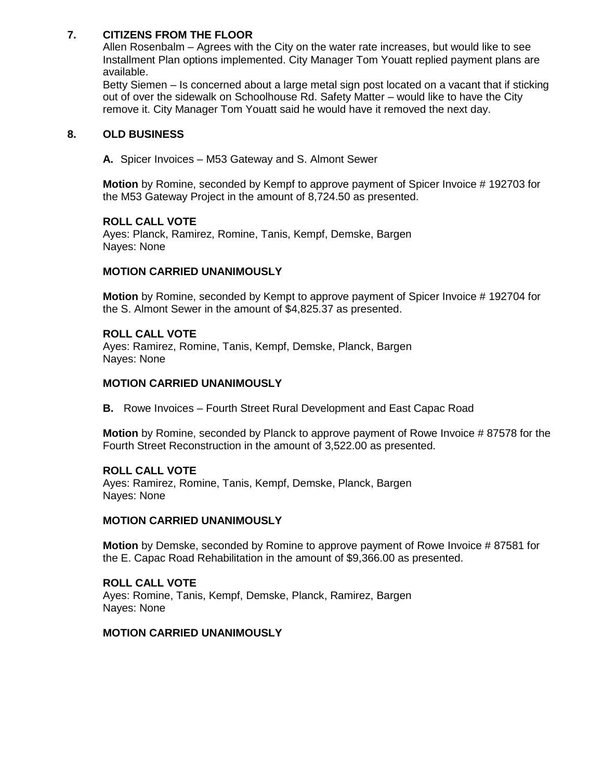## **7. CITIZENS FROM THE FLOOR**

Allen Rosenbalm – Agrees with the City on the water rate increases, but would like to see Installment Plan options implemented. City Manager Tom Youatt replied payment plans are available.

Betty Siemen – Is concerned about a large metal sign post located on a vacant that if sticking out of over the sidewalk on Schoolhouse Rd. Safety Matter – would like to have the City remove it. City Manager Tom Youatt said he would have it removed the next day.

#### **8. OLD BUSINESS**

**A.** Spicer Invoices – M53 Gateway and S. Almont Sewer

**Motion** by Romine, seconded by Kempf to approve payment of Spicer Invoice # 192703 for the M53 Gateway Project in the amount of 8,724.50 as presented.

## **ROLL CALL VOTE**

Ayes: Planck, Ramirez, Romine, Tanis, Kempf, Demske, Bargen Nayes: None

## **MOTION CARRIED UNANIMOUSLY**

**Motion** by Romine, seconded by Kempt to approve payment of Spicer Invoice # 192704 for the S. Almont Sewer in the amount of \$4,825.37 as presented.

### **ROLL CALL VOTE**

Ayes: Ramirez, Romine, Tanis, Kempf, Demske, Planck, Bargen Nayes: None

### **MOTION CARRIED UNANIMOUSLY**

**B.** Rowe Invoices – Fourth Street Rural Development and East Capac Road

**Motion** by Romine, seconded by Planck to approve payment of Rowe Invoice # 87578 for the Fourth Street Reconstruction in the amount of 3,522.00 as presented.

#### **ROLL CALL VOTE**

Ayes: Ramirez, Romine, Tanis, Kempf, Demske, Planck, Bargen Nayes: None

#### **MOTION CARRIED UNANIMOUSLY**

**Motion** by Demske, seconded by Romine to approve payment of Rowe Invoice # 87581 for the E. Capac Road Rehabilitation in the amount of \$9,366.00 as presented.

**ROLL CALL VOTE** Ayes: Romine, Tanis, Kempf, Demske, Planck, Ramirez, Bargen Nayes: None

#### **MOTION CARRIED UNANIMOUSLY**